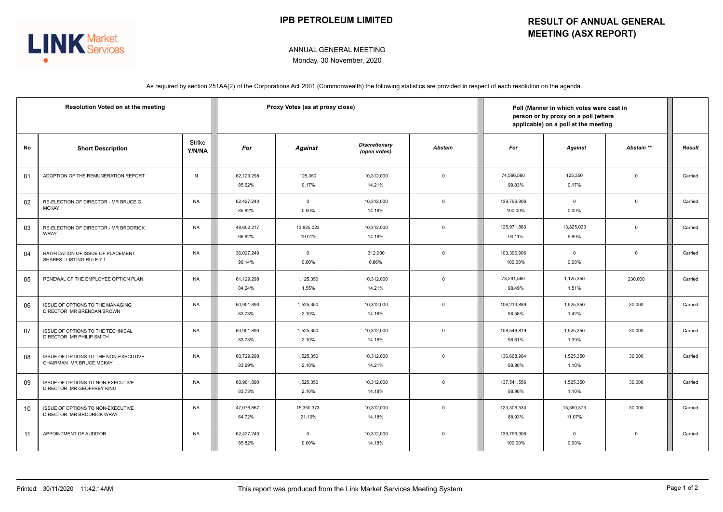

## ANNUAL GENERAL MEETING Monday, 30 November, 2020

As required by section 251AA(2) of the Corporations Act 2001 (Commonwealth) the following statistics are provided in respect of each resolution on the agenda.

| Resolution Voted on at the meeting |                                                                  |                  | Proxy Votes (as at proxy close) |                         |                                      |                         | Poll (Manner in which votes were cast in<br>person or by proxy on a poll (where<br>applicable) on a poll at the meeting |                      |             |               |
|------------------------------------|------------------------------------------------------------------|------------------|---------------------------------|-------------------------|--------------------------------------|-------------------------|-------------------------------------------------------------------------------------------------------------------------|----------------------|-------------|---------------|
| No                                 | <b>Short Description</b>                                         | Strike<br>Y/N/NA | For                             | <b>Against</b>          | <b>Discretionary</b><br>(open votes) | <b>Abstain</b>          | For                                                                                                                     | <b>Against</b>       | Abstain **  | <b>Result</b> |
| 01                                 | ADOPTION OF THE REMUNERATION REPORT                              | N                | 62,129,298<br>85.62%            | 125,350<br>0.17%        | 10,312,000<br>14.21%                 | $\overline{0}$          | 74,566,560<br>99.83%                                                                                                    | 125,350<br>0.17%     | $\mathbf 0$ | Carried       |
| 02                                 | RE-ELECTION OF DIRECTOR - MR BRUCE G<br><b>MCKAY</b>             | <b>NA</b>        | 62,427,240<br>85.82%            | $\overline{0}$<br>0.00% | 10.312.000<br>14.18%                 | $\overline{0}$          | 139,796,906<br>100.00%                                                                                                  | $\mathbf 0$<br>0.00% | $\Omega$    | Carried       |
| 03                                 | RE-ELECTION OF DIRECTOR - MR BRODRICK<br><b>WRAY</b>             | <b>NA</b>        | 48,602,217<br>66.82%            | 13,825,023<br>19.01%    | 10,312,000<br>14.18%                 | $\overline{0}$          | 125,971,883<br>90.11%                                                                                                   | 13,825,023<br>9.89%  | $\mathbf 0$ | Carried       |
| 04                                 | RATIFICATION OF ISSUE OF PLACEMENT<br>SHARES - LISTING RULE 7.1  | <b>NA</b>        | 36,027,240<br>99.14%            | $\overline{0}$<br>0.00% | 312,000<br>0.86%                     | $\overline{0}$          | 103,396,906<br>100.00%                                                                                                  | $\mathbf 0$<br>0.00% | $\mathbf 0$ | Carried       |
| 05                                 | RENEWAL OF THE EMPLOYEE OPTION PLAN                              | <b>NA</b>        | 61,129,298<br>84.24%            | 1,125,350<br>1.55%      | 10,312,000<br>14.21%                 | $\overline{0}$          | 73.291.560<br>98.49%                                                                                                    | 1,125,350<br>1.51%   | 230,000     | Carried       |
| 06                                 | ISSUE OF OPTIONS TO THE MANAGING<br>DIRECTOR MR BRENDAN BROWN    | <b>NA</b>        | 60,901,890<br>83.73%            | 1,525,350<br>2.10%      | 10,312,000<br>14.18%                 | $\mathbf 0$             | 106,213,889<br>98.58%                                                                                                   | 1,525,350<br>1.42%   | 30,000      | Carried       |
| 07                                 | ISSUE OF OPTIONS TO THE TECHNICAL<br>DIRECTOR MR PHILIP SMITH    | <b>NA</b>        | 60,901,890<br>83.73%            | 1,525,350<br>2.10%      | 10,312,000<br>14.18%                 | $\overline{0}$          | 108,546,819<br>98.61%                                                                                                   | 1,525,350<br>1.39%   | 30,000      | Carried       |
| 08                                 | ISSUE OF OPTIONS TO THE NON-EXECUTIVE<br>CHAIRMAN MR BRUCE MCKAY | <b>NA</b>        | 60,729,298<br>83.69%            | 1,525,350<br>2.10%      | 10,312,000<br>14.21%                 | $\overline{0}$          | 136,668,964<br>98.90%                                                                                                   | 1,525,350<br>1.10%   | 30,000      | Carried       |
| 09                                 | ISSUE OF OPTIONS TO NON-EXECUTIVE<br>DIRECTOR MR GEOFFREY KING   | <b>NA</b>        | 60,901,890<br>83.73%            | 1,525,350<br>2.10%      | 10,312,000<br>14.18%                 | $\mathbf 0$             | 137,541,556<br>98.90%                                                                                                   | 1,525,350<br>1.10%   | 30,000      | Carried       |
| 10                                 | ISSUE OF OPTIONS TO NON-EXECUTIVE<br>DIRECTOR MR BRODRICK WRAY   | <b>NA</b>        | 47,076,867<br>64.72%            | 15,350,373<br>21.10%    | 10,312,000<br>14.18%                 | $\overline{\mathbf{0}}$ | 123,306,533<br>88.93%                                                                                                   | 15,350,373<br>11.07% | 30,000      | Carried       |
| 11                                 | APPOINTMENT OF AUDITOR                                           | <b>NA</b>        | 62,427,240<br>85.82%            | $\mathbf 0$<br>0.00%    | 10,312,000<br>14.18%                 | $\mathbf 0$             | 139,796,906<br>100.00%                                                                                                  | $\mathbf 0$<br>0.00% | $\mathbf 0$ | Carried       |